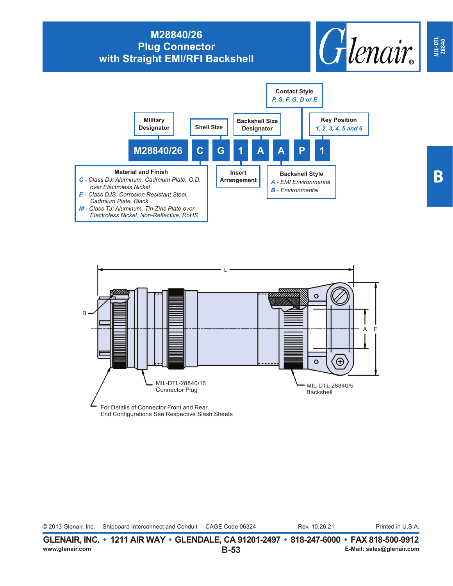## **M28840/26 Plug Connector with Straight EMI/RFI Backshell**







End Configurations See Respective Slash Sheets

© 2013 Glenair, Inc. Shipboard Interconnect and Conduit CAGE Code 06324 Rev. 10.26.21 Printed in U.S.A.

Rev. 10.26.21

**B-53 GLENAIR, INC. • 1211 AIR WAY • GLENDALE, CA 91201-2497 • 818-247-6000 • FAX 818-500-9912**<br>E-Mail: sales@glenair.com **www.glenair.com E-Mail: sales@glenair.com** **MIL-DTL 28840**